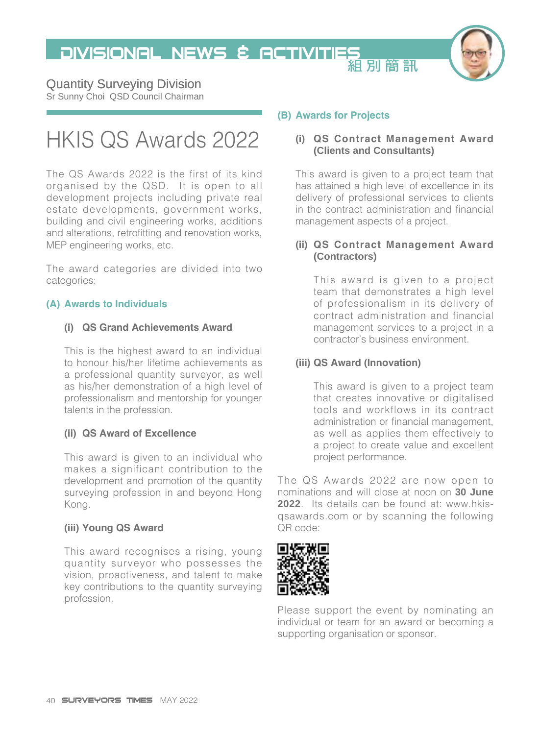**DIVISIONAL NEWS & ACTIVITIES** 



### Quantity Surveying Division

Sr Sunny Choi QSD Council Chairman

# HKIS QS Awards 2022

The QS Awards 2022 is the first of its kind organised by the QSD. It is open to all development projects including private real estate developments, government works, building and civil engineering works, additions and alterations, retrofitting and renovation works, MEP engineering works, etc.

The award categories are divided into two categories:

#### **(A) Awards to Individuals**

#### **(i) QS Grand Achievements Award**

This is the highest award to an individual to honour his/her lifetime achievements as a professional quantity surveyor, as well as his/her demonstration of a high level of professionalism and mentorship for younger talents in the profession.

#### **(ii) QS Award of Excellence**

This award is given to an individual who makes a significant contribution to the development and promotion of the quantity surveying profession in and beyond Hong Kong.

#### **(iii) Young QS Award**

This award recognises a rising, young quantity surveyor who possesses the vision, proactiveness, and talent to make key contributions to the quantity surveying profession.

#### **(B) Awards for Projects**

#### **(i) QS Contract Management Award (Clients and Consultants)**

This award is given to a project team that has attained a high level of excellence in its delivery of professional services to clients in the contract administration and financial management aspects of a project.

#### **(ii) QS Contract Management Award (Contractors)**

This award is given to a project team that demonstrates a high level of professionalism in its delivery of contract administration and financial management services to a project in a contractor's business environment.

#### **(iii) QS Award (Innovation)**

This award is given to a project team that creates innovative or digitalised tools and workflows in its contract administration or financial management, as well as applies them effectively to a project to create value and excellent project performance.

The QS Awards 2022 are now open to nominations and will close at noon on **30 June 2022**. Its details can be found at: [www.hkis](http://www.hkis-qsawards.com)[qsawards.com](http://www.hkis-qsawards.com) or by scanning the following QR code:



Please support the event by nominating an individual or team for an award or becoming a supporting organisation or sponsor.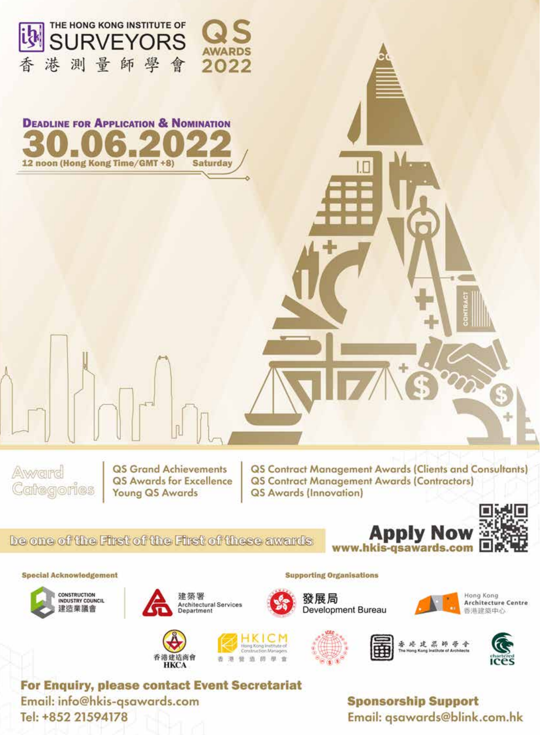

師學會

2022

THE HONG KONG INSTITUTE OF

港

杏

測量



**QS Grand Achievements** QS Awards for Excellence **Young QS Awards** 

**QS Contract Management Awards (Clients and Consultants) QS Contract Management Awards (Contractors) QS Awards (Innovation)** 

#### be one of the First of the First of these awards







**Special Acknowledgement** 



谁 创 38 筛





**Supporting Organisations** 







For Enquiry, please contact Event Secretariat Email: info@hkis-gsawards.com Tel: +852 21594178

香港建造商會

**HKCA** 

### **Sponsorship Support** Email: gsawards@blink.com.hk